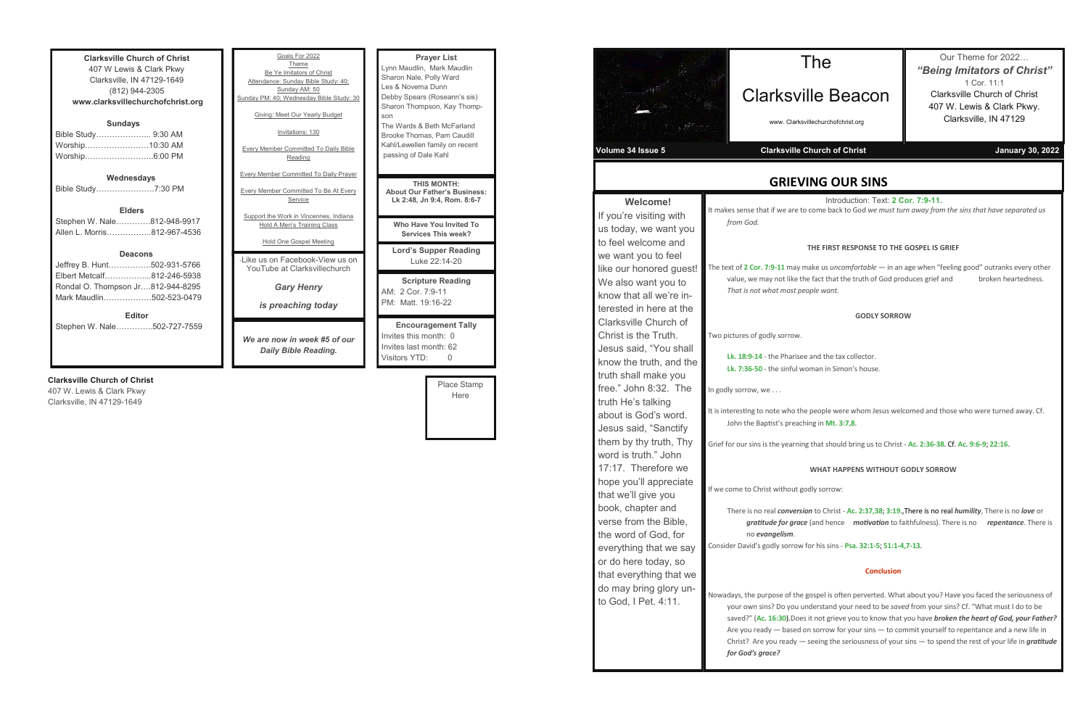| <b>Clarksville Church of Christ</b> |  |  |  |
|-------------------------------------|--|--|--|
| 407 W Lewis & Clark Pkwy            |  |  |  |
| Clarksville, IN 47129-1649          |  |  |  |
| (812) 944-2305                      |  |  |  |
| www.clarksvillechurchofchrist.org   |  |  |  |
| <b>Sundays</b>                      |  |  |  |
| Bible Study 9:30 AM                 |  |  |  |
|                                     |  |  |  |
| Worship……………………10:30 AM             |  |  |  |
| Worship6:00 PM                      |  |  |  |
| Wednesdays                          |  |  |  |
| Bible Study7:30 PM                  |  |  |  |
|                                     |  |  |  |
| <b>Elders</b>                       |  |  |  |
| Stephen W. Nale812-948-9917         |  |  |  |
| Allen L. Morris…………….812-967-4536   |  |  |  |
|                                     |  |  |  |
| <b>Deacons</b>                      |  |  |  |
| Jeffrey B. Hunt502-931-5766         |  |  |  |
| Elbert Metcalf812-246-5938          |  |  |  |
| Rondal O. Thompson Jr812-944-8295   |  |  |  |
| Mark Maudlin502-523-0479            |  |  |  |
|                                     |  |  |  |
| <b>Editor</b>                       |  |  |  |
| Stephen W. Nale………….502-727-7559    |  |  |  |
|                                     |  |  |  |
|                                     |  |  |  |

### **Clarksville Church of Christ**

407 W. Lewis & Clark Pkwy Clarksville, IN 47129-1649

| Goals For 2022<br>Theme<br>Be Ye Imitators of Christ<br>Attendance: Sunday Bible Study: 40;<br>Sunday AM: 50<br>Sunday PM: 40; Wednesday Bible Study: 30<br>Giving: Meet Our Yearly Budget<br>Invitations: 130<br><b>Every Member Committed To Daily Bible</b><br>Reading | <b>Prayer List</b><br>Lynn Maudlin, Mark Maudlin<br>Sharon Nale, Polly Ward<br>Les & Novema Dunn<br>Debby Spears (Roseann's sis)<br>Sharon Thompson, Kay Thomp-<br>son<br>The Wards & Beth McFarland<br>Brooke Thomas, Pam Caudill<br>Kahl/Lewellen family on recent<br>passing of Dale Kahl |
|---------------------------------------------------------------------------------------------------------------------------------------------------------------------------------------------------------------------------------------------------------------------------|----------------------------------------------------------------------------------------------------------------------------------------------------------------------------------------------------------------------------------------------------------------------------------------------|
| <b>Every Member Committed To Daily Prayer</b><br><b>Every Member Committed To Be At Every</b><br>Service                                                                                                                                                                  | <b>THIS MONTH:</b><br><b>About Our Father's Business:</b><br>Lk 2:48, Jn 9:4, Rom. 8:6-7                                                                                                                                                                                                     |
| Support the Work in Vincennes, Indiana<br>Hold A Men's Training Class                                                                                                                                                                                                     | Who Have You Invited To<br><b>Services This week?</b>                                                                                                                                                                                                                                        |
| Hold One Gospel Meeting<br>- like us on Facebook-View us on<br>YouTube at Clarksvillechurch                                                                                                                                                                               | <b>Lord's Supper Reading</b><br>Luke 22:14-20                                                                                                                                                                                                                                                |
| <b>Gary Henry</b><br>is preaching today                                                                                                                                                                                                                                   | <b>Scripture Reading</b><br>AM: 2 Cor. 7:9-11<br>PM: Matt. 19:16-22                                                                                                                                                                                                                          |
| We are now in week #5 of our<br>Daily Bible Reading.                                                                                                                                                                                                                      | <b>Encouragement Tally</b><br>Invites this month: 0<br>Invites last month: 62<br>Visitors YTD:<br>0                                                                                                                                                                                          |

**or. 7:9-11** may make us *uncomfortable* — in an age when "feeling good" outranks every other e may not like the fact that the truth of God produces grief and broken heartedness. *That is not what most people want.*

| Place Stamp |
|-------------|
| Here        |
|             |
|             |
|             |
|             |

## **GRIEVING OUR SINS**

Introduction: Text: **2 Cor. 7:9-11**.

that if we are to come back to God *we must turn away from the sins that have separated us* 

### **THE FIRST RESPONSE TO THE GOSPEL IS GRIEF**

### **GODLY SORROW**

| Clarksv<br>www. Clarks<br>Volume 34 Issue 5<br><b>Clarksville</b><br><b>GRIEN</b>                                                                                           |                                                                                                                                                           |  |
|-----------------------------------------------------------------------------------------------------------------------------------------------------------------------------|-----------------------------------------------------------------------------------------------------------------------------------------------------------|--|
|                                                                                                                                                                             |                                                                                                                                                           |  |
| us today, we want you<br>to feel welcome and<br>we want you to feel<br>like our honored guest!<br>We also want you to<br>know that all we're in-<br>terested in here at the | from God.<br>The text of 2 Cor. 7:9-11 may<br>value, we may not like t<br>That is not what most p                                                         |  |
| Clarksville Church of<br>Christ is the Truth.<br>Jesus said, "You shall<br>know the truth, and the<br>truth shall make you                                                  | Two pictures of godly sorrow.<br>Lk. 18:9-14 - the Pharise<br>Lk. 7:36-50 - the sinful v                                                                  |  |
| free." John 8:32. The<br>truth He's talking<br>about is God's word.<br>Jesus said, "Sanctify                                                                                | In godly sorrow, we<br>It is interesting to note who th<br>John the Baptist's pread                                                                       |  |
| them by thy truth, Thy<br>word is truth." John<br>17:17. Therefore we                                                                                                       | Grief for our sins is the yearni                                                                                                                          |  |
| hope you'll appreciate<br>that we'll give you<br>book, chapter and                                                                                                          | If we come to Christ without g<br>There is no real convers                                                                                                |  |
| verse from the Bible,<br>the word of God, for<br>everything that we say<br>or do here today, so                                                                             | gratitude for grad<br>no evangelism.<br>Consider David's godly sorrow                                                                                     |  |
| that everything that we<br>do may bring glory un-<br>to God, I Pet. 4:11.                                                                                                   | Nowadays, the purpose of the<br>your own sins? Do you<br>saved?" (Ac. 16:30). Doe<br>Are you ready - based<br>Christ? Are you ready -<br>for God's grace? |  |

**Lk. 18:9-14** - the Pharisee and the tax collector. **Lk. 7:36-50** - the sinful woman in Simon's house.

It is note who the people were whom Jesus welcomed and those who were turned away. Cf. Baptist's preaching in Mt. 3:7,8.

Grief for our sins is the yearning that should bring us to Christ - **Ac. 2:36-38**. Cf. **Ac. 9:6-9**; **22:16**.

### **WHAT HAPPENS WITHOUT GODLY SORROW**

Christ without godly sorrow:

There is no real *conversion* to Christ - **Ac. 2:37,38**; **3:19**.,There is no real *humility*, There is no *love* or *gratitude for grace* (and hence *motivation* to faithfulness). There is no *repentance*. There is

Consider David's godly sorrow for his sins - **Psa. 32:1-5**; **51:1-4,7-13**.

### **Conclusion**

purpose of the gospel is often perverted. What about you? Have you faced the seriousness of n sins? Do you understand your need to be *saved* from your sins? Cf. "What must I do to be (Ac. 16:30).Does it not grieve you to know that you have *broken the heart of God, your Father?* ready — based on sorrow for your sins — to commit yourself to repentance and a new life in Are you ready — seeing the seriousness of your sins — to spend the rest of your life in *gratitude* 

# The

## Clarksville Beacon

www. Clarksvillechurchofchrist.org

### **Volume 34 Issue Schware 33 Issue 5 Issue 5 Issue 5 Issue 5 Issue 5 Issue 5 Issue 5 Issue 5 Issue 5 Issue 5 Issue 5 Issue 5 Issue 5 Issue 5 Issue 5 Issue 5 Issue 5 Issue 5 Issue 5 Issue 5 Issue 5 Issue 5 Issue 5 Issue 5 Is**

Our Theme for 2022… *"Being Imitators of Christ"* 1 Cor. 11:1 Clarksville Church of Christ 407 W. Lewis & Clark Pkwy. Clarksville, IN 47129